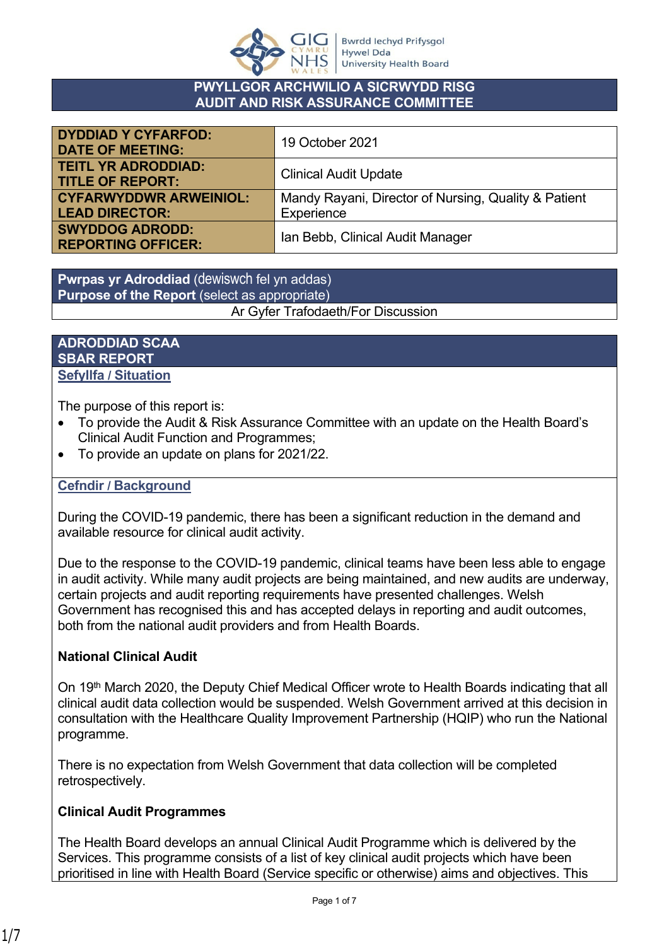

#### **PWYLLGOR ARCHWILIO A SICRWYDD RISG AUDIT AND RISK ASSURANCE COMMITTEE**

| <b>DYDDIAD Y CYFARFOD:</b><br><b>DATE OF MEETING:</b> | 19 October 2021                                      |
|-------------------------------------------------------|------------------------------------------------------|
| <b>TEITL YR ADRODDIAD:</b><br><b>TITLE OF REPORT:</b> | <b>Clinical Audit Update</b>                         |
| <b>CYFARWYDDWR ARWEINIOL:</b>                         | Mandy Rayani, Director of Nursing, Quality & Patient |
| <b>LEAD DIRECTOR:</b>                                 | Experience                                           |
| <b>SWYDDOG ADRODD:</b><br><b>REPORTING OFFICER:</b>   | Ian Bebb, Clinical Audit Manager                     |

**Pwrpas yr Adroddiad** (dewiswch fel yn addas) **Purpose of the Report** (select as appropriate) Ar Gyfer Trafodaeth/For Discussion

**ADRODDIAD SCAA SBAR REPORT Sefyllfa / Situation** 

The purpose of this report is:

- To provide the Audit & Risk Assurance Committee with an update on the Health Board's Clinical Audit Function and Programmes;
- To provide an update on plans for 2021/22.

### **Cefndir / Background**

During the COVID-19 pandemic, there has been a significant reduction in the demand and available resource for clinical audit activity.

Due to the response to the COVID-19 pandemic, clinical teams have been less able to engage in audit activity. While many audit projects are being maintained, and new audits are underway, certain projects and audit reporting requirements have presented challenges. Welsh Government has recognised this and has accepted delays in reporting and audit outcomes, both from the national audit providers and from Health Boards.

# **National Clinical Audit**

On 19<sup>th</sup> March 2020, the Deputy Chief Medical Officer wrote to Health Boards indicating that all clinical audit data collection would be suspended. Welsh Government arrived at this decision in consultation with the Healthcare Quality Improvement Partnership (HQIP) who run the National programme.

There is no expectation from Welsh Government that data collection will be completed retrospectively.

# **Clinical Audit Programmes**

The Health Board develops an annual Clinical Audit Programme which is delivered by the Services. This programme consists of a list of key clinical audit projects which have been prioritised in line with Health Board (Service specific or otherwise) aims and objectives. This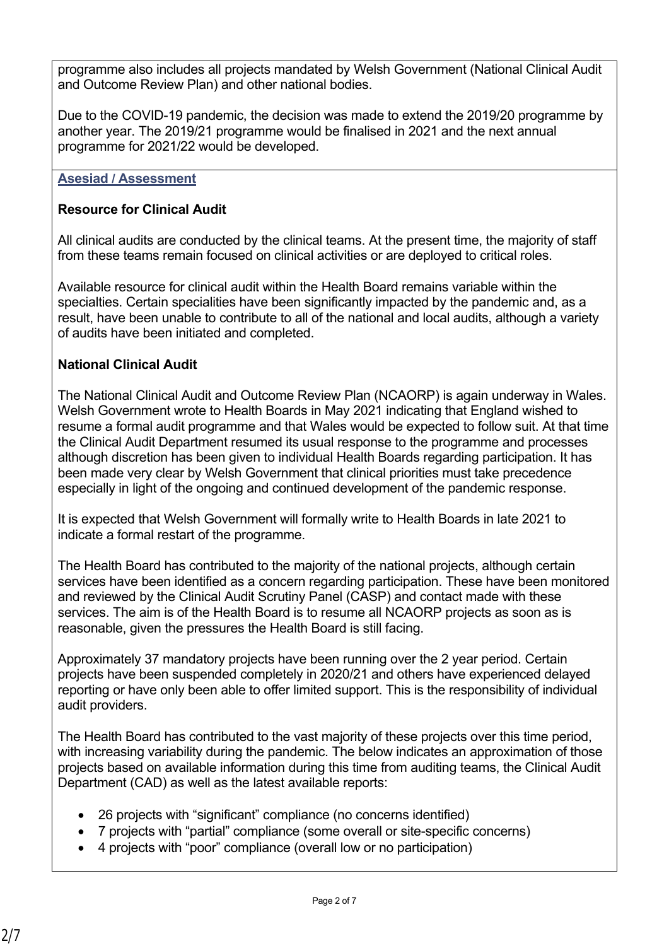programme also includes all projects mandated by Welsh Government (National Clinical Audit and Outcome Review Plan) and other national bodies.

Due to the COVID-19 pandemic, the decision was made to extend the 2019/20 programme by another year. The 2019/21 programme would be finalised in 2021 and the next annual programme for 2021/22 would be developed.

#### **Asesiad / Assessment**

### **Resource for Clinical Audit**

All clinical audits are conducted by the clinical teams. At the present time, the majority of staff from these teams remain focused on clinical activities or are deployed to critical roles.

Available resource for clinical audit within the Health Board remains variable within the specialties. Certain specialities have been significantly impacted by the pandemic and, as a result, have been unable to contribute to all of the national and local audits, although a variety of audits have been initiated and completed.

### **National Clinical Audit**

The National Clinical Audit and Outcome Review Plan (NCAORP) is again underway in Wales. Welsh Government wrote to Health Boards in May 2021 indicating that England wished to resume a formal audit programme and that Wales would be expected to follow suit. At that time the Clinical Audit Department resumed its usual response to the programme and processes although discretion has been given to individual Health Boards regarding participation. It has been made very clear by Welsh Government that clinical priorities must take precedence especially in light of the ongoing and continued development of the pandemic response.

It is expected that Welsh Government will formally write to Health Boards in late 2021 to indicate a formal restart of the programme.

The Health Board has contributed to the majority of the national projects, although certain services have been identified as a concern regarding participation. These have been monitored and reviewed by the Clinical Audit Scrutiny Panel (CASP) and contact made with these services. The aim is of the Health Board is to resume all NCAORP projects as soon as is reasonable, given the pressures the Health Board is still facing.

Approximately 37 mandatory projects have been running over the 2 year period. Certain projects have been suspended completely in 2020/21 and others have experienced delayed reporting or have only been able to offer limited support. This is the responsibility of individual audit providers.

The Health Board has contributed to the vast majority of these projects over this time period, with increasing variability during the pandemic. The below indicates an approximation of those projects based on available information during this time from auditing teams, the Clinical Audit Department (CAD) as well as the latest available reports:

- 26 projects with "significant" compliance (no concerns identified)
- 7 projects with "partial" compliance (some overall or site-specific concerns)
- 4 projects with "poor" compliance (overall low or no participation)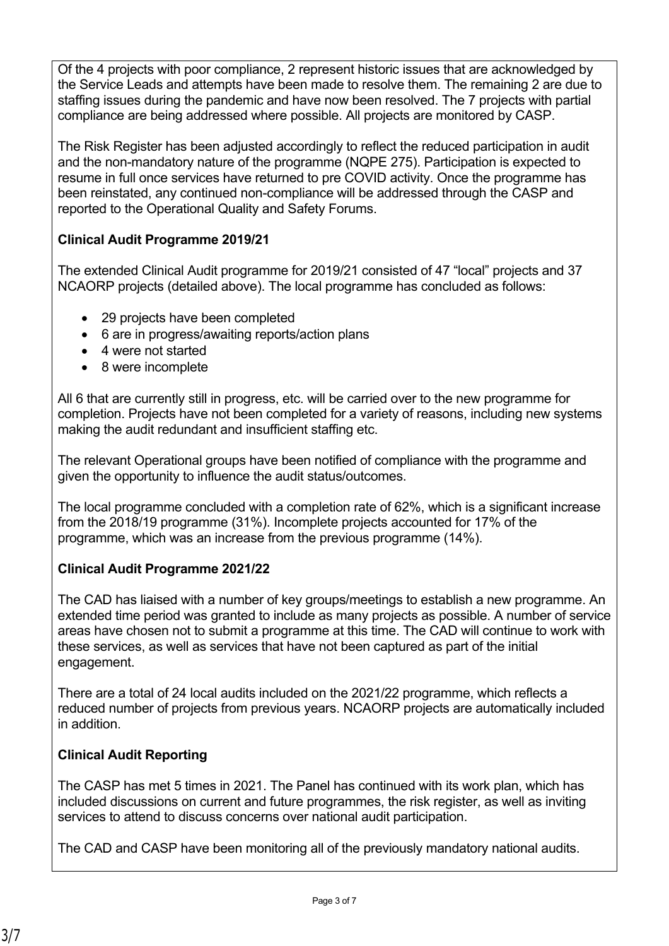Of the 4 projects with poor compliance, 2 represent historic issues that are acknowledged by the Service Leads and attempts have been made to resolve them. The remaining 2 are due to staffing issues during the pandemic and have now been resolved. The 7 projects with partial compliance are being addressed where possible. All projects are monitored by CASP.

The Risk Register has been adjusted accordingly to reflect the reduced participation in audit and the non-mandatory nature of the programme (NQPE 275). Participation is expected to resume in full once services have returned to pre COVID activity. Once the programme has been reinstated, any continued non-compliance will be addressed through the CASP and reported to the Operational Quality and Safety Forums.

# **Clinical Audit Programme 2019/21**

The extended Clinical Audit programme for 2019/21 consisted of 47 "local" projects and 37 NCAORP projects (detailed above). The local programme has concluded as follows:

- 29 projects have been completed
- 6 are in progress/awaiting reports/action plans
- 4 were not started
- 8 were incomplete

All 6 that are currently still in progress, etc. will be carried over to the new programme for completion. Projects have not been completed for a variety of reasons, including new systems making the audit redundant and insufficient staffing etc.

The relevant Operational groups have been notified of compliance with the programme and given the opportunity to influence the audit status/outcomes.

The local programme concluded with a completion rate of 62%, which is a significant increase from the 2018/19 programme (31%). Incomplete projects accounted for 17% of the programme, which was an increase from the previous programme (14%).

### **Clinical Audit Programme 2021/22**

The CAD has liaised with a number of key groups/meetings to establish a new programme. An extended time period was granted to include as many projects as possible. A number of service areas have chosen not to submit a programme at this time. The CAD will continue to work with these services, as well as services that have not been captured as part of the initial engagement.

There are a total of 24 local audits included on the 2021/22 programme, which reflects a reduced number of projects from previous years. NCAORP projects are automatically included in addition.

### **Clinical Audit Reporting**

The CASP has met 5 times in 2021. The Panel has continued with its work plan, which has included discussions on current and future programmes, the risk register, as well as inviting services to attend to discuss concerns over national audit participation.

The CAD and CASP have been monitoring all of the previously mandatory national audits.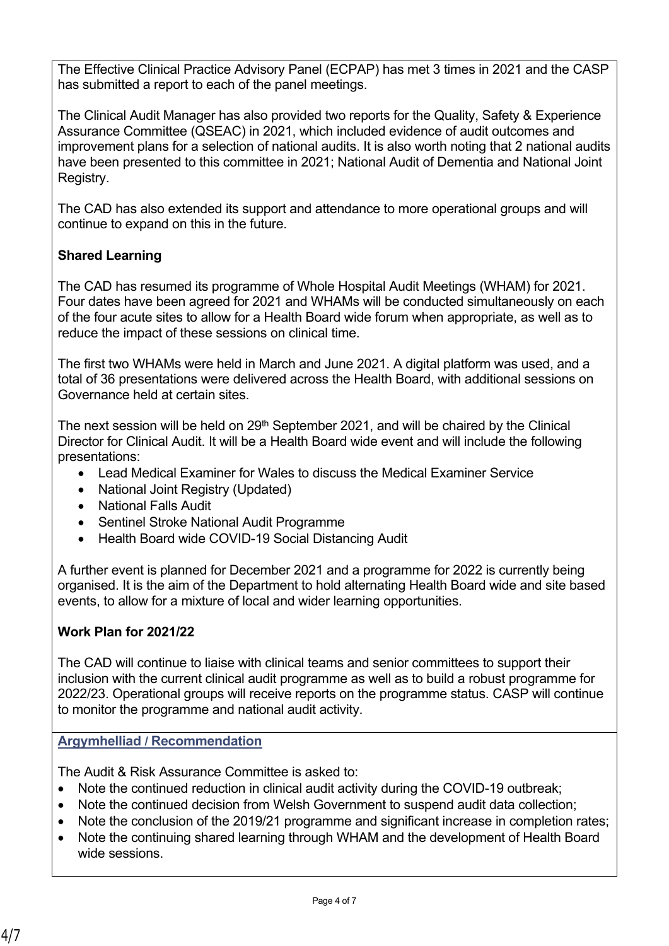The Effective Clinical Practice Advisory Panel (ECPAP) has met 3 times in 2021 and the CASP has submitted a report to each of the panel meetings.

The Clinical Audit Manager has also provided two reports for the Quality, Safety & Experience Assurance Committee (QSEAC) in 2021, which included evidence of audit outcomes and improvement plans for a selection of national audits. It is also worth noting that 2 national audits have been presented to this committee in 2021; National Audit of Dementia and National Joint Registry.

The CAD has also extended its support and attendance to more operational groups and will continue to expand on this in the future.

# **Shared Learning**

The CAD has resumed its programme of Whole Hospital Audit Meetings (WHAM) for 2021. Four dates have been agreed for 2021 and WHAMs will be conducted simultaneously on each of the four acute sites to allow for a Health Board wide forum when appropriate, as well as to reduce the impact of these sessions on clinical time.

The first two WHAMs were held in March and June 2021. A digital platform was used, and a total of 36 presentations were delivered across the Health Board, with additional sessions on Governance held at certain sites.

The next session will be held on  $29<sup>th</sup>$  September 2021, and will be chaired by the Clinical Director for Clinical Audit. It will be a Health Board wide event and will include the following presentations:

- Lead Medical Examiner for Wales to discuss the Medical Examiner Service
- National Joint Registry (Updated)
- National Falls Audit
- Sentinel Stroke National Audit Programme
- Health Board wide COVID-19 Social Distancing Audit

A further event is planned for December 2021 and a programme for 2022 is currently being organised. It is the aim of the Department to hold alternating Health Board wide and site based events, to allow for a mixture of local and wider learning opportunities.

### **Work Plan for 2021/22**

The CAD will continue to liaise with clinical teams and senior committees to support their inclusion with the current clinical audit programme as well as to build a robust programme for 2022/23. Operational groups will receive reports on the programme status. CASP will continue to monitor the programme and national audit activity.

### **Argymhelliad / Recommendation**

The Audit & Risk Assurance Committee is asked to:

- Note the continued reduction in clinical audit activity during the COVID-19 outbreak:
- Note the continued decision from Welsh Government to suspend audit data collection;
- Note the conclusion of the 2019/21 programme and significant increase in completion rates:
- Note the continuing shared learning through WHAM and the development of Health Board wide sessions.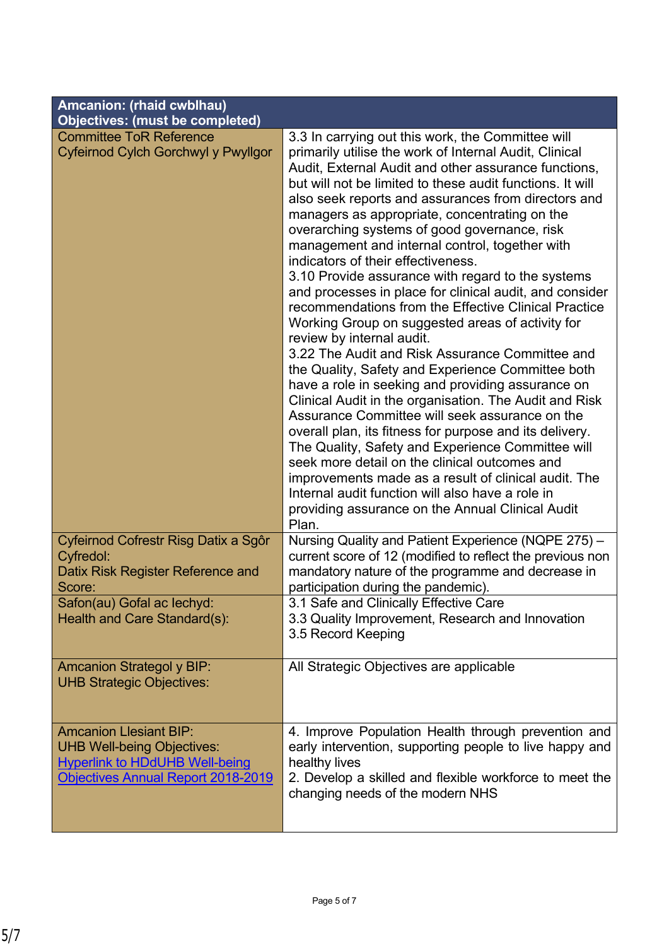| Amcanion: (rhaid cwblhau)                                                                                                                                      |                                                                                                                                                                                                                                                                                                                                                                                                                                                                                                                                                                                                                                                                                                                                                                                                                                                                                                                                                                                                                                                                                                                                                                                                                                                                                                                                                              |
|----------------------------------------------------------------------------------------------------------------------------------------------------------------|--------------------------------------------------------------------------------------------------------------------------------------------------------------------------------------------------------------------------------------------------------------------------------------------------------------------------------------------------------------------------------------------------------------------------------------------------------------------------------------------------------------------------------------------------------------------------------------------------------------------------------------------------------------------------------------------------------------------------------------------------------------------------------------------------------------------------------------------------------------------------------------------------------------------------------------------------------------------------------------------------------------------------------------------------------------------------------------------------------------------------------------------------------------------------------------------------------------------------------------------------------------------------------------------------------------------------------------------------------------|
| <b>Objectives: (must be completed)</b>                                                                                                                         |                                                                                                                                                                                                                                                                                                                                                                                                                                                                                                                                                                                                                                                                                                                                                                                                                                                                                                                                                                                                                                                                                                                                                                                                                                                                                                                                                              |
| <b>Committee ToR Reference</b><br>Cyfeirnod Cylch Gorchwyl y Pwyllgor                                                                                          | 3.3 In carrying out this work, the Committee will<br>primarily utilise the work of Internal Audit, Clinical<br>Audit, External Audit and other assurance functions,<br>but will not be limited to these audit functions. It will<br>also seek reports and assurances from directors and<br>managers as appropriate, concentrating on the<br>overarching systems of good governance, risk<br>management and internal control, together with<br>indicators of their effectiveness.<br>3.10 Provide assurance with regard to the systems<br>and processes in place for clinical audit, and consider<br>recommendations from the Effective Clinical Practice<br>Working Group on suggested areas of activity for<br>review by internal audit.<br>3.22 The Audit and Risk Assurance Committee and<br>the Quality, Safety and Experience Committee both<br>have a role in seeking and providing assurance on<br>Clinical Audit in the organisation. The Audit and Risk<br>Assurance Committee will seek assurance on the<br>overall plan, its fitness for purpose and its delivery.<br>The Quality, Safety and Experience Committee will<br>seek more detail on the clinical outcomes and<br>improvements made as a result of clinical audit. The<br>Internal audit function will also have a role in<br>providing assurance on the Annual Clinical Audit<br>Plan. |
| Cyfeirnod Cofrestr Risg Datix a Sgôr<br>Cyfredol:<br>Datix Risk Register Reference and<br>Score:<br>Safon(au) Gofal ac lechyd:<br>Health and Care Standard(s): | Nursing Quality and Patient Experience (NQPE 275) -<br>current score of 12 (modified to reflect the previous non<br>mandatory nature of the programme and decrease in<br>participation during the pandemic).<br>3.1 Safe and Clinically Effective Care<br>3.3 Quality Improvement, Research and Innovation<br>3.5 Record Keeping                                                                                                                                                                                                                                                                                                                                                                                                                                                                                                                                                                                                                                                                                                                                                                                                                                                                                                                                                                                                                             |
| <b>Amcanion Strategol y BIP:</b><br><b>UHB Strategic Objectives:</b>                                                                                           | All Strategic Objectives are applicable                                                                                                                                                                                                                                                                                                                                                                                                                                                                                                                                                                                                                                                                                                                                                                                                                                                                                                                                                                                                                                                                                                                                                                                                                                                                                                                      |
| <b>Amcanion Llesiant BIP:</b><br><b>UHB Well-being Objectives:</b><br><b>Hyperlink to HDdUHB Well-being</b><br>Objectives Annual Report 2018-2019              | 4. Improve Population Health through prevention and<br>early intervention, supporting people to live happy and<br>healthy lives<br>2. Develop a skilled and flexible workforce to meet the<br>changing needs of the modern NHS                                                                                                                                                                                                                                                                                                                                                                                                                                                                                                                                                                                                                                                                                                                                                                                                                                                                                                                                                                                                                                                                                                                               |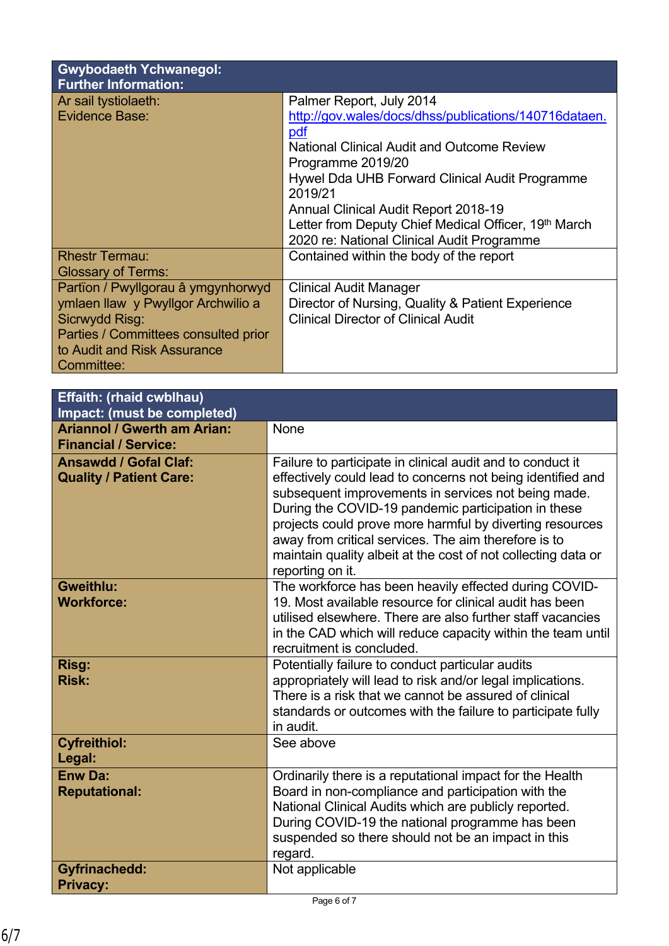| <b>Gwybodaeth Ychwanegol:</b><br><b>Further Information:</b> |                                                                  |
|--------------------------------------------------------------|------------------------------------------------------------------|
| Ar sail tystiolaeth:                                         | Palmer Report, July 2014                                         |
| Evidence Base:                                               | http://gov.wales/docs/dhss/publications/140716dataen.            |
|                                                              | pdf                                                              |
|                                                              | <b>National Clinical Audit and Outcome Review</b>                |
|                                                              | Programme 2019/20                                                |
|                                                              | Hywel Dda UHB Forward Clinical Audit Programme                   |
|                                                              | 2019/21                                                          |
|                                                              | <b>Annual Clinical Audit Report 2018-19</b>                      |
|                                                              | Letter from Deputy Chief Medical Officer, 19 <sup>th</sup> March |
|                                                              | 2020 re: National Clinical Audit Programme                       |
| <b>Rhestr Termau:</b>                                        | Contained within the body of the report                          |
| <b>Glossary of Terms:</b>                                    |                                                                  |
| Partïon / Pwyllgorau â ymgynhorwyd                           | <b>Clinical Audit Manager</b>                                    |
| ymlaen llaw y Pwyllgor Archwilio a                           | Director of Nursing, Quality & Patient Experience                |
| Sicrwydd Risg:                                               | <b>Clinical Director of Clinical Audit</b>                       |
| Parties / Committees consulted prior                         |                                                                  |
| to Audit and Risk Assurance                                  |                                                                  |
| Committee:                                                   |                                                                  |

| Effaith: (rhaid cwblhau)<br>Impact: (must be completed)           |                                                                                                                                                                                                                                                                                                                                                                                                                                                  |  |
|-------------------------------------------------------------------|--------------------------------------------------------------------------------------------------------------------------------------------------------------------------------------------------------------------------------------------------------------------------------------------------------------------------------------------------------------------------------------------------------------------------------------------------|--|
| <b>Ariannol / Gwerth am Arian:</b><br><b>Financial / Service:</b> | None                                                                                                                                                                                                                                                                                                                                                                                                                                             |  |
| <b>Ansawdd / Gofal Claf:</b><br><b>Quality / Patient Care:</b>    | Failure to participate in clinical audit and to conduct it<br>effectively could lead to concerns not being identified and<br>subsequent improvements in services not being made.<br>During the COVID-19 pandemic participation in these<br>projects could prove more harmful by diverting resources<br>away from critical services. The aim therefore is to<br>maintain quality albeit at the cost of not collecting data or<br>reporting on it. |  |
| <b>Gweithlu:</b><br><b>Workforce:</b>                             | The workforce has been heavily effected during COVID-<br>19. Most available resource for clinical audit has been<br>utilised elsewhere. There are also further staff vacancies<br>in the CAD which will reduce capacity within the team until<br>recruitment is concluded.                                                                                                                                                                       |  |
| Risg:<br><b>Risk:</b>                                             | Potentially failure to conduct particular audits<br>appropriately will lead to risk and/or legal implications.<br>There is a risk that we cannot be assured of clinical<br>standards or outcomes with the failure to participate fully<br>in audit.                                                                                                                                                                                              |  |
| <b>Cyfreithiol:</b><br>Legal:                                     | See above                                                                                                                                                                                                                                                                                                                                                                                                                                        |  |
| <b>Enw Da:</b><br><b>Reputational:</b>                            | Ordinarily there is a reputational impact for the Health<br>Board in non-compliance and participation with the<br>National Clinical Audits which are publicly reported.<br>During COVID-19 the national programme has been<br>suspended so there should not be an impact in this<br>regard.                                                                                                                                                      |  |
| <b>Gyfrinachedd:</b><br><b>Privacy:</b>                           | Not applicable                                                                                                                                                                                                                                                                                                                                                                                                                                   |  |